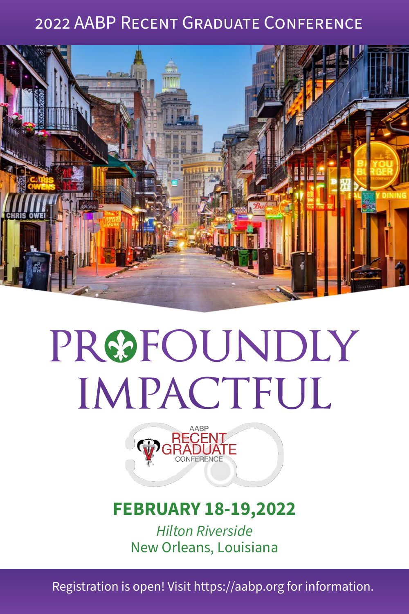# 2022 AABP Recent Graduate Conference



# PRØFOUNDLY **IMPACTFUL**



# **FEBRUARY 18-19,2022**

*Hilton Riverside* New Orleans, Louisiana

Registration is open! Visit https://aabp.org for information.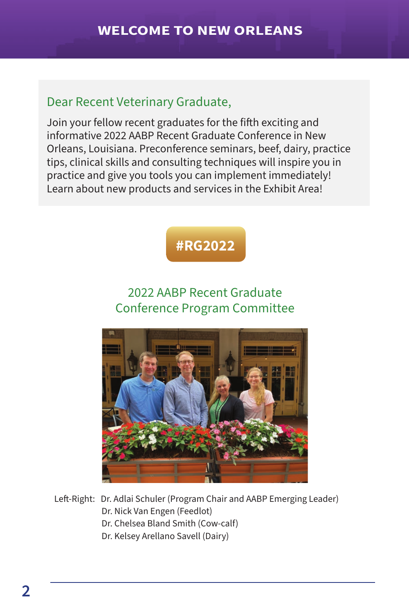#### Dear Recent Veterinary Graduate,

Join your fellow recent graduates for the fifth exciting and informative 2022 AABP Recent Graduate Conference in New Orleans, Louisiana. Preconference seminars, beef, dairy, practice tips, clinical skills and consulting techniques will inspire you in practice and give you tools you can implement immediately! Learn about new products and services in the Exhibit Area!



# 2022 AABP Recent Graduate Conference Program Committee



Left-Right: Dr. Adlai Schuler (Program Chair and AABP Emerging Leader) Dr. Nick Van Engen (Feedlot) Dr. Chelsea Bland Smith (Cow-calf) Dr. Kelsey Arellano Savell (Dairy)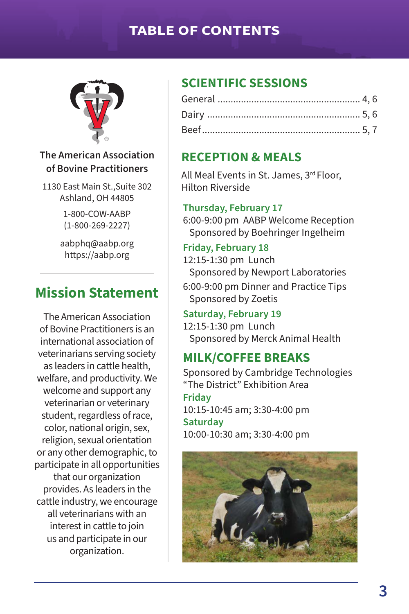#### **TABLE OF CONTENTS**



#### **The American Association of Bovine Practitioners**

1130 East Main St.,Suite 302 Ashland, OH 44805

> 1-800-COW-AABP (1-800-269-2227)

aabphq@aabp.org https://aabp.org

# **Mission Statement**

The American Association of Bovine Practitioners is an international association of veterinarians serving society as leaders in cattle health, welfare, and productivity. We welcome and support any veterinarian or veterinary student, regardless of race, color, national origin, sex, religion, sexual orientation or any other demographic, to participate in all opportunities that our organization provides. As leaders in the cattle industry, we encourage all veterinarians with an interest in cattle to join us and participate in our organization.

#### **SCIENTIFIC SESSIONS**

#### **RECEPTION & MEALS**

All Meal Events in St. James, 3rd Floor, Hilton Riverside

#### **Thursday, February 17**

6:00-9:00 pm AABP Welcome Reception Sponsored by Boehringer Ingelheim

#### **Friday, February 18**

12:15-1:30 pm Lunch Sponsored by Newport Laboratories

6:00-9:00 pm Dinner and Practice Tips Sponsored by Zoetis

#### **Saturday, February 19**

12:15-1:30 pm Lunch Sponsored by Merck Animal Health

#### **MILK/COFFEE BREAKS**

Sponsored by Cambridge Technologies "The District" Exhibition Area **Friday** 10:15-10:45 am; 3:30-4:00 pm **Saturday** 10:00-10:30 am; 3:30-4:00 pm

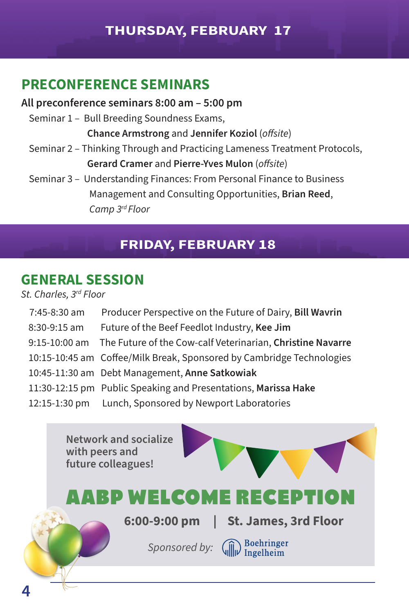#### **THURSDAY, FEBRUARY 17**

#### **PRECONFERENCE SEMINARS**

#### **All preconference seminars 8:00 am – 5:00 pm**

Seminar 1 – Bull Breeding Soundness Exams,

**Chance Armstrong** and **Jennifer Koziol** (*offsite*)

- Seminar 2 Thinking Through and Practicing Lameness Treatment Protocols, **Gerard Cramer** and **Pierre-Yves Mulon** (*offsite*)
- Seminar 3 Understanding Finances: From Personal Finance to Business Management and Consulting Opportunities, **Brian Reed**, *Camp 3rd Floor*

#### **FRIDAY, FEBRUARY 18**

#### **GENERAL SESSION**

*St. Charles, 3rd Floor*

| 7:45-8:30 am   | Producer Perspective on the Future of Dairy, Bill Wavrin                 |
|----------------|--------------------------------------------------------------------------|
| $8:30-9:15$ am | Future of the Beef Feedlot Industry, Kee Jim                             |
|                | 9:15-10:00 am The Future of the Cow-calf Veterinarian, Christine Navarre |
|                | 10:15-10:45 am Coffee/Milk Break, Sponsored by Cambridge Technologies    |
|                | 10:45-11:30 am Debt Management, Anne Satkowiak                           |
|                | 11:30-12:15 pm Public Speaking and Presentations, Marissa Hake           |
|                | 12:15-1:30 pm Lunch, Sponsored by Newport Laboratories                   |

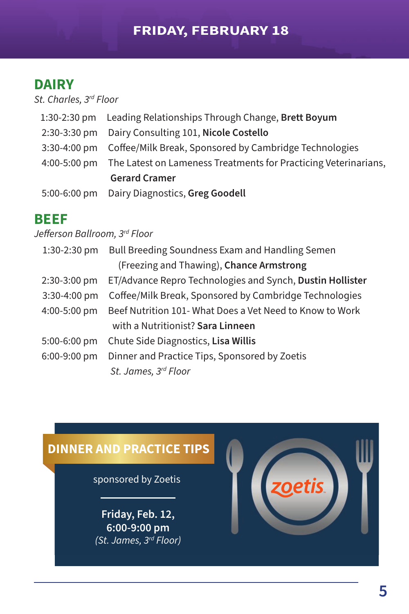#### **FRIDAY, FEBRUARY 18**

# **DAIRY**

*St. Charles, 3rd Floor*

|  | 1:30-2:30 pm Leading Relationships Through Change, Brett Boyum               |
|--|------------------------------------------------------------------------------|
|  | 2:30-3:30 pm Dairy Consulting 101, Nicole Costello                           |
|  | 3:30-4:00 pm Coffee/Milk Break, Sponsored by Cambridge Technologies          |
|  | 4:00-5:00 pm The Latest on Lameness Treatments for Practicing Veterinarians, |
|  | <b>Gerard Cramer</b>                                                         |
|  | 5:00-6:00 pm Dairy Diagnostics, Greg Goodell                                 |

#### **BEEF**

*Jefferson Ballroom, 3rd Floor*

| $1:30-2:30$ pm | Bull Breeding Soundness Exam and Handling Semen           |
|----------------|-----------------------------------------------------------|
|                | (Freezing and Thawing), Chance Armstrong                  |
| 2:30-3:00 pm   | ET/Advance Repro Technologies and Synch, Dustin Hollister |
| 3:30-4:00 pm   | Coffee/Milk Break, Sponsored by Cambridge Technologies    |
| 4:00-5:00 pm   | Beef Nutrition 101- What Does a Vet Need to Know to Work  |
|                | with a Nutritionist? Sara Linneen                         |
| $5:00-6:00$ pm | Chute Side Diagnostics, Lisa Willis                       |
| 6:00-9:00 pm   | Dinner and Practice Tips, Sponsored by Zoetis             |
|                | St. James, 3rd Floor                                      |

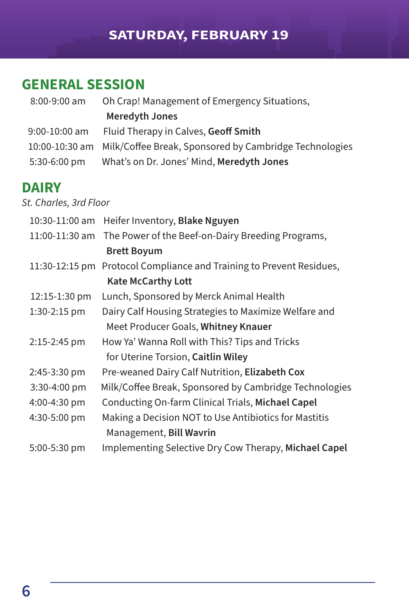# **SATURDAY, FEBRUARY 19**

# **GENERAL SESSION**

| 8:00-9:00 am    | Oh Crap! Management of Emergency Situations,                          |
|-----------------|-----------------------------------------------------------------------|
|                 | <b>Meredyth Jones</b>                                                 |
| $9:00-10:00$ am | Fluid Therapy in Calves, Geoff Smith                                  |
|                 | 10:00-10:30 am Milk/Coffee Break, Sponsored by Cambridge Technologies |
| 5:30-6:00 pm    | What's on Dr. Jones' Mind, Meredyth Jones                             |

#### **DAIRY**

*St. Charles, 3rd Floor*

| 10:30-11:00 am | Heifer Inventory, Blake Nguyen                                       |
|----------------|----------------------------------------------------------------------|
| 11:00-11:30 am | The Power of the Beef-on-Dairy Breeding Programs,                    |
|                | <b>Brett Boyum</b>                                                   |
|                | 11:30-12:15 pm Protocol Compliance and Training to Prevent Residues, |
|                | <b>Kate McCarthy Lott</b>                                            |
| 12:15-1:30 pm  | Lunch, Sponsored by Merck Animal Health                              |
| 1:30-2:15 pm   | Dairy Calf Housing Strategies to Maximize Welfare and                |
|                | Meet Producer Goals, Whitney Knauer                                  |
| 2:15-2:45 pm   | How Ya' Wanna Roll with This? Tips and Tricks                        |
|                | for Uterine Torsion, Caitlin Wiley                                   |
| 2:45-3:30 pm   | Pre-weaned Dairy Calf Nutrition, Elizabeth Cox                       |
| 3:30-4:00 pm   | Milk/Coffee Break, Sponsored by Cambridge Technologies               |
| 4:00-4:30 pm   | Conducting On-farm Clinical Trials, Michael Capel                    |
| 4:30-5:00 pm   | Making a Decision NOT to Use Antibiotics for Mastitis                |
|                | Management, Bill Wavrin                                              |
| 5:00-5:30 pm   | Implementing Selective Dry Cow Therapy, Michael Capel                |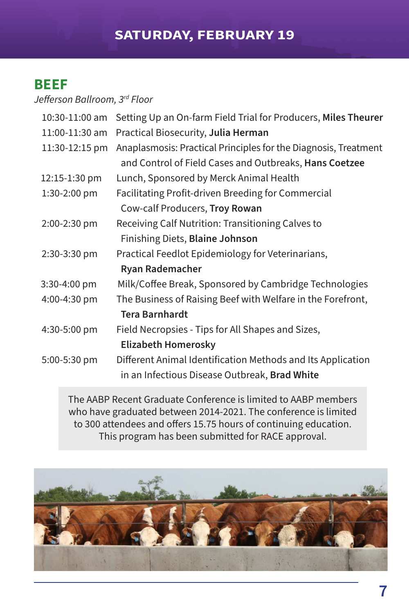# **BEEF**

*Jefferson Ballroom, 3rd Floor*

| 10:30-11:00 am | Setting Up an On-farm Field Trial for Producers, Miles Theurer  |
|----------------|-----------------------------------------------------------------|
| 11:00-11:30 am | Practical Biosecurity, Julia Herman                             |
| 11:30-12:15 pm | Anaplasmosis: Practical Principles for the Diagnosis, Treatment |
|                | and Control of Field Cases and Outbreaks, Hans Coetzee          |
| 12:15-1:30 pm  | Lunch, Sponsored by Merck Animal Health                         |
| 1:30-2:00 pm   | Facilitating Profit-driven Breeding for Commercial              |
|                | Cow-calf Producers, Troy Rowan                                  |
| 2:00-2:30 pm   | Receiving Calf Nutrition: Transitioning Calves to               |
|                | Finishing Diets, Blaine Johnson                                 |
| 2:30-3:30 pm   | Practical Feedlot Epidemiology for Veterinarians,               |
|                | <b>Ryan Rademacher</b>                                          |
| 3:30-4:00 pm   | Milk/Coffee Break, Sponsored by Cambridge Technologies          |
| 4:00-4:30 pm   | The Business of Raising Beef with Welfare in the Forefront,     |
|                | <b>Tera Barnhardt</b>                                           |
| 4:30-5:00 pm   | Field Necropsies - Tips for All Shapes and Sizes,               |
|                | <b>Elizabeth Homerosky</b>                                      |
| 5:00-5:30 pm   | Different Animal Identification Methods and Its Application     |
|                | in an Infectious Disease Outbreak, Brad White                   |
|                |                                                                 |

The AABP Recent Graduate Conference is limited to AABP members who have graduated between 2014-2021. The conference is limited to 300 attendees and offers 15.75 hours of continuing education. This program has been submitted for RACE approval.